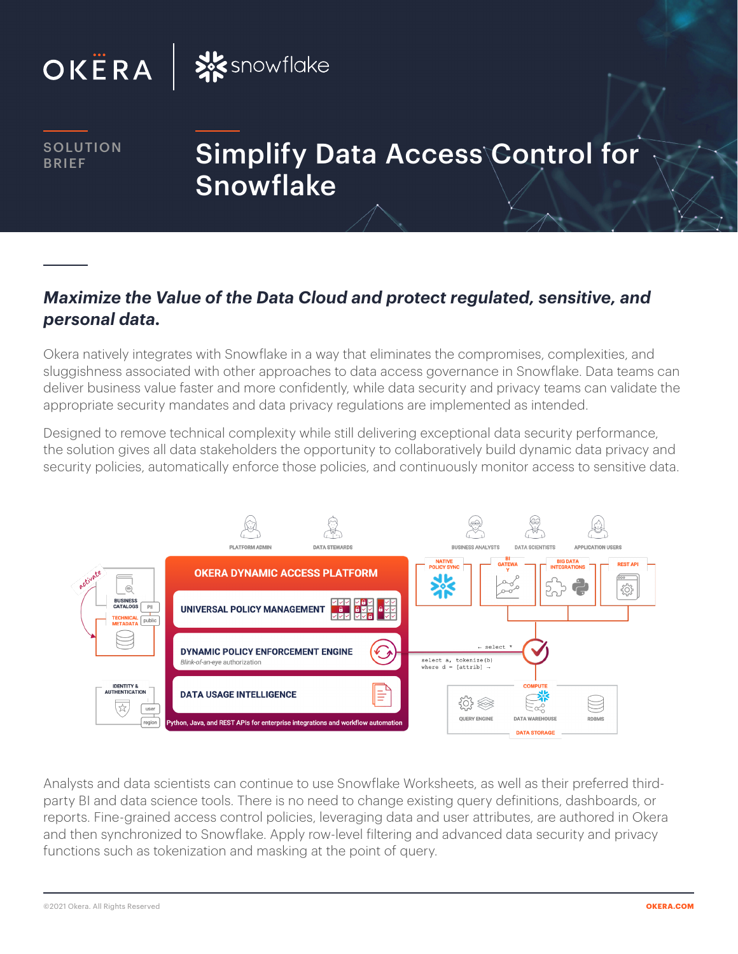



**SOLUTION** 

# **SOLUTION** Simplify Data Access\Control for **Snowflake**

## *Maximize the Value of the Data Cloud and protect regulated, sensitive, and personal data.*

Okera natively integrates with Snowflake in a way that eliminates the compromises, complexities, and sluggishness associated with other approaches to data access governance in Snowflake. Data teams can deliver business value faster and more confidently, while data security and privacy teams can validate the appropriate security mandates and data privacy regulations are implemented as intended.

Designed to remove technical complexity while still delivering exceptional data security performance, the solution gives all data stakeholders the opportunity to collaboratively build dynamic data privacy and security policies, automatically enforce those policies, and continuously monitor access to sensitive data.



Analysts and data scientists can continue to use Snowflake Worksheets, as well as their preferred thirdparty BI and data science tools. There is no need to change existing query definitions, dashboards, or reports. Fine-grained access control policies, leveraging data and user attributes, are authored in Okera and then synchronized to Snowflake. Apply row-level filtering and advanced data security and privacy functions such as tokenization and masking at the point of query.